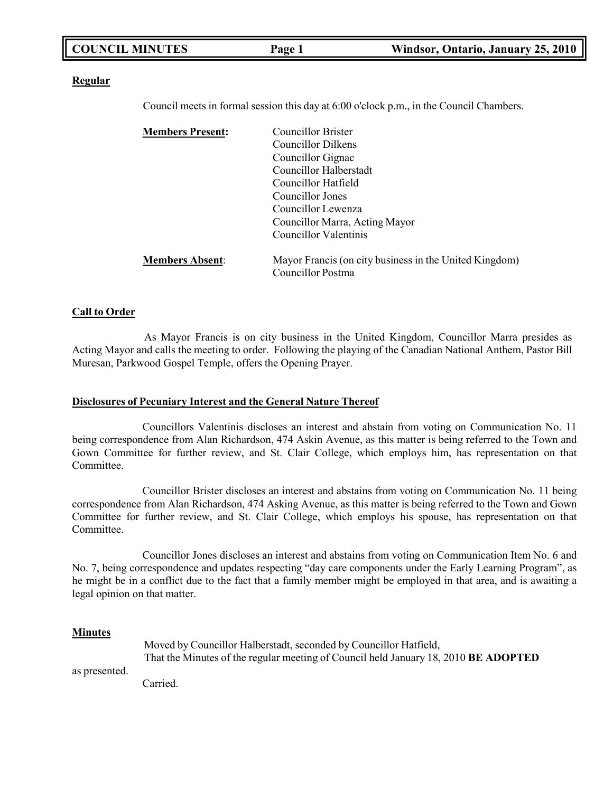| <b>COUNCIL MINUTES</b> | Page 1 | Windsor, Ontario, January 25, 2010 |
|------------------------|--------|------------------------------------|
|------------------------|--------|------------------------------------|

#### **Regular**

Council meets in formal session this day at 6:00 o'clock p.m., in the Council Chambers.

| Councillor Brister                                                          |
|-----------------------------------------------------------------------------|
| <b>Councillor Dilkens</b>                                                   |
| Councillor Gignac                                                           |
| Councillor Halberstadt                                                      |
| Councillor Hatfield                                                         |
| Councillor Jones                                                            |
| Councillor Lewenza                                                          |
| Councillor Marra, Acting Mayor                                              |
| Councillor Valentinis                                                       |
| Mayor Francis (on city business in the United Kingdom)<br>Councillor Postma |
|                                                                             |

#### **Call to Order**

As Mayor Francis is on city business in the United Kingdom, Councillor Marra presides as Acting Mayor and calls the meeting to order. Following the playing of the Canadian National Anthem, Pastor Bill Muresan, Parkwood Gospel Temple, offers the Opening Prayer.

#### **Disclosures of Pecuniary Interest and the General Nature Thereof**

Councillors Valentinis discloses an interest and abstain from voting on Communication No. 11 being correspondence from Alan Richardson, 474 Askin Avenue, as this matter is being referred to the Town and Gown Committee for further review, and St. Clair College, which employs him, has representation on that Committee.

Councillor Brister discloses an interest and abstains from voting on Communication No. 11 being correspondence from Alan Richardson, 474 Asking Avenue, as this matter is being referred to the Town and Gown Committee for further review, and St. Clair College, which employs his spouse, has representation on that Committee.

Councillor Jones discloses an interest and abstains from voting on Communication Item No. 6 and No. 7, being correspondence and updates respecting "day care components under the Early Learning Program", as he might be in a conflict due to the fact that a family member might be employed in that area, and is awaiting a legal opinion on that matter.

#### **Minutes**

|               | Moved by Councillor Halberstadt, seconded by Councillor Hatfield,                          |  |
|---------------|--------------------------------------------------------------------------------------------|--|
|               | That the Minutes of the regular meeting of Council held January 18, 2010 <b>BE ADOPTED</b> |  |
| as presented. |                                                                                            |  |
|               | $Cconst$ and                                                                               |  |

Carried.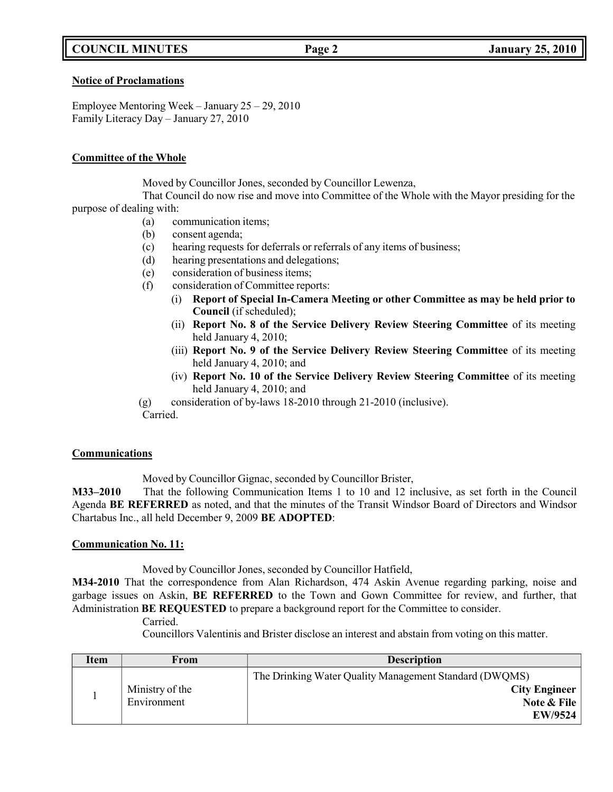## **COUNCIL MINUTES Page 2 January 25, 2010**

#### **Notice of Proclamations**

Employee Mentoring Week – January 25 – 29, 2010 Family Literacy Day – January 27, 2010

#### **Committee of the Whole**

Moved by Councillor Jones, seconded by Councillor Lewenza,

That Council do now rise and move into Committee of the Whole with the Mayor presiding for the purpose of dealing with:

- (a) communication items;
- (b) consent agenda;
- (c) hearing requests for deferrals or referrals of any items of business;
- (d) hearing presentations and delegations;
- (e) consideration of business items;
- (f) consideration of Committee reports:
	- (i) **Report of Special In-Camera Meeting or other Committee as may be held prior to Council** (if scheduled);
	- (ii) **Report No. 8 of the Service Delivery Review Steering Committee** of its meeting held January 4, 2010;
	- (iii) **Report No. 9 of the Service Delivery Review Steering Committee** of its meeting held January 4, 2010; and
	- (iv) **Report No. 10 of the Service Delivery Review Steering Committee** of its meeting held January 4, 2010; and
- (g) consideration of by-laws 18-2010 through 21-2010 (inclusive). Carried.

#### **Communications**

Moved by Councillor Gignac, seconded by Councillor Brister,

**M33–2010** That the following Communication Items 1 to 10 and 12 inclusive, as set forth in the Council Agenda **BE REFERRED** as noted, and that the minutes of the Transit Windsor Board of Directors and Windsor Chartabus Inc., all held December 9, 2009 **BE ADOPTED**:

### **Communication No. 11:**

Moved by Councillor Jones, seconded by Councillor Hatfield,

**M34-2010** That the correspondence from Alan Richardson, 474 Askin Avenue regarding parking, noise and garbage issues on Askin, **BE REFERRED** to the Town and Gown Committee for review, and further, that Administration **BE REQUESTED** to prepare a background report for the Committee to consider.

Councillors Valentinis and Brister disclose an interest and abstain from voting on this matter.

| Item | From                           | <b>Description</b>                                                                                       |  |
|------|--------------------------------|----------------------------------------------------------------------------------------------------------|--|
|      | Ministry of the<br>Environment | The Drinking Water Quality Management Standard (DWQMS)<br><b>City Engineer</b><br>Note & File<br>EW/9524 |  |

Carried.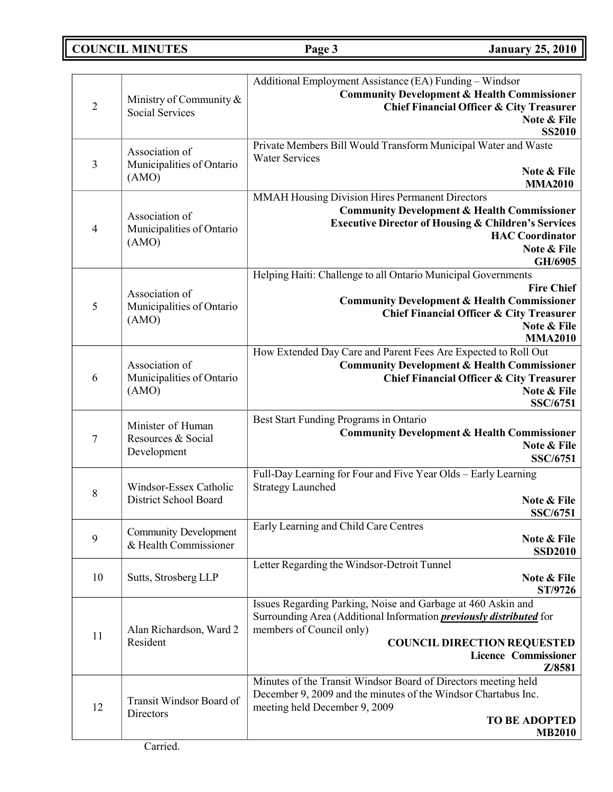# **COUNCIL MINUTES Page 3 January 25, 2010**

|                |                                                       | Additional Employment Assistance (EA) Funding – Windsor                                                                          |
|----------------|-------------------------------------------------------|----------------------------------------------------------------------------------------------------------------------------------|
|                | Ministry of Community &                               | <b>Community Development &amp; Health Commissioner</b>                                                                           |
| $\overline{2}$ | <b>Social Services</b>                                | <b>Chief Financial Officer &amp; City Treasurer</b>                                                                              |
|                |                                                       | Note & File<br><b>SS2010</b>                                                                                                     |
|                |                                                       | Private Members Bill Would Transform Municipal Water and Waste                                                                   |
|                | Association of                                        | <b>Water Services</b>                                                                                                            |
| $\mathfrak{Z}$ | Municipalities of Ontario<br>(AMO)                    | Note & File                                                                                                                      |
|                |                                                       | <b>MMA2010</b>                                                                                                                   |
|                |                                                       | MMAH Housing Division Hires Permanent Directors                                                                                  |
|                | Association of                                        | <b>Community Development &amp; Health Commissioner</b><br><b>Executive Director of Housing &amp; Children's Services</b>         |
| $\overline{4}$ | Municipalities of Ontario                             | <b>HAC</b> Coordinator                                                                                                           |
|                | (AMO)                                                 | Note & File                                                                                                                      |
|                |                                                       | GH/6905                                                                                                                          |
|                |                                                       | Helping Haiti: Challenge to all Ontario Municipal Governments                                                                    |
|                | Association of                                        | <b>Fire Chief</b>                                                                                                                |
| 5              | Municipalities of Ontario                             | <b>Community Development &amp; Health Commissioner</b><br><b>Chief Financial Officer &amp; City Treasurer</b>                    |
|                | (AMO)                                                 | Note & File                                                                                                                      |
|                |                                                       | <b>MMA2010</b>                                                                                                                   |
|                |                                                       | How Extended Day Care and Parent Fees Are Expected to Roll Out                                                                   |
| 6              | Association of                                        | <b>Community Development &amp; Health Commissioner</b>                                                                           |
|                | Municipalities of Ontario                             | <b>Chief Financial Officer &amp; City Treasurer</b>                                                                              |
|                | (AMO)                                                 | Note & File<br>SSC/6751                                                                                                          |
|                |                                                       | Best Start Funding Programs in Ontario                                                                                           |
|                | Minister of Human<br>Resources & Social               | <b>Community Development &amp; Health Commissioner</b>                                                                           |
| 7              |                                                       | Note & File                                                                                                                      |
|                | Development                                           | <b>SSC/6751</b>                                                                                                                  |
|                |                                                       | Full-Day Learning for Four and Five Year Olds - Early Learning                                                                   |
| $8\,$          | Windsor-Essex Catholic                                | <b>Strategy Launched</b>                                                                                                         |
|                | District School Board                                 | Note & File<br><b>SSC/6751</b>                                                                                                   |
|                |                                                       | Early Learning and Child Care Centres                                                                                            |
| 9              | <b>Community Development</b><br>& Health Commissioner | Note & File                                                                                                                      |
|                |                                                       | <b>SSD2010</b>                                                                                                                   |
|                |                                                       | Letter Regarding the Windsor-Detroit Tunnel                                                                                      |
| 10             | Sutts, Strosberg LLP                                  | Note & File<br>ST/9726                                                                                                           |
|                |                                                       | Issues Regarding Parking, Noise and Garbage at 460 Askin and                                                                     |
|                |                                                       | Surrounding Area (Additional Information <i>previously distributed</i> for                                                       |
| 11             | Alan Richardson, Ward 2<br>Resident                   | members of Council only)                                                                                                         |
|                |                                                       | <b>COUNCIL DIRECTION REQUESTED</b>                                                                                               |
|                |                                                       | <b>Licence Commissioner</b>                                                                                                      |
|                |                                                       | Z/8581                                                                                                                           |
|                |                                                       | Minutes of the Transit Windsor Board of Directors meeting held<br>December 9, 2009 and the minutes of the Windsor Chartabus Inc. |
| 12             | Transit Windsor Board of<br>Directors                 | meeting held December 9, 2009                                                                                                    |
|                |                                                       | <b>TO BE ADOPTED</b>                                                                                                             |
|                |                                                       | <b>MB2010</b>                                                                                                                    |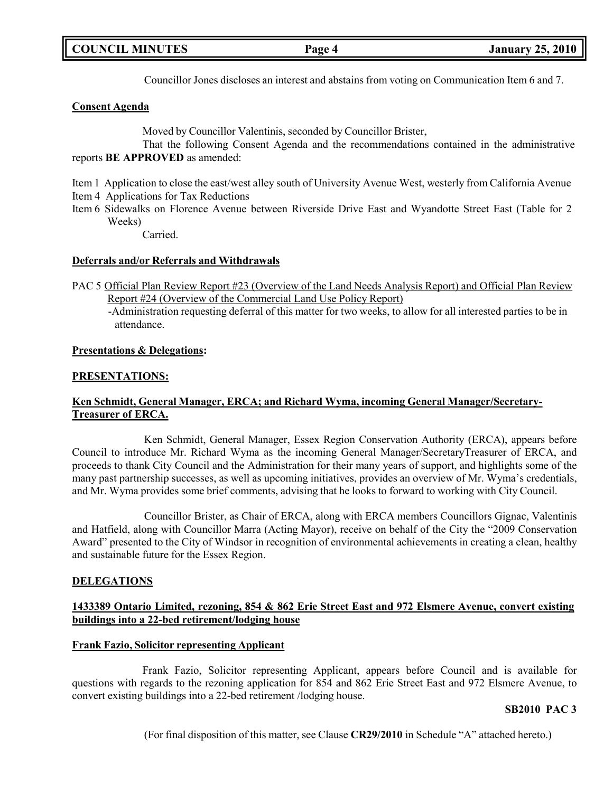Councillor Jones discloses an interest and abstains from voting on Communication Item 6 and 7.

### **Consent Agenda**

Moved by Councillor Valentinis, seconded by Councillor Brister,

That the following Consent Agenda and the recommendations contained in the administrative reports **BE APPROVED** as amended:

Item 1 Application to close the east/west alley south of University Avenue West, westerly from California Avenue Item 4 Applications for Tax Reductions

Item 6 Sidewalks on Florence Avenue between Riverside Drive East and Wyandotte Street East (Table for 2 Weeks)

Carried.

#### **Deferrals and/or Referrals and Withdrawals**

- PAC 5 Official Plan Review Report #23 (Overview of the Land Needs Analysis Report) and Official Plan Review Report #24 (Overview of the Commercial Land Use Policy Report)
	- -Administration requesting deferral of this matter for two weeks, to allow for all interested parties to be in attendance.

#### **Presentations & Delegations:**

#### **PRESENTATIONS:**

## **Ken Schmidt, General Manager, ERCA; and Richard Wyma, incoming General Manager/Secretary-Treasurer of ERCA.**

Ken Schmidt, General Manager, Essex Region Conservation Authority (ERCA), appears before Council to introduce Mr. Richard Wyma as the incoming General Manager/SecretaryTreasurer of ERCA, and proceeds to thank City Council and the Administration for their many years of support, and highlights some of the many past partnership successes, as well as upcoming initiatives, provides an overview of Mr. Wyma's credentials, and Mr. Wyma provides some brief comments, advising that he looks to forward to working with City Council.

Councillor Brister, as Chair of ERCA, along with ERCA members Councillors Gignac, Valentinis and Hatfield, along with Councillor Marra (Acting Mayor), receive on behalf of the City the "2009 Conservation Award" presented to the City of Windsor in recognition of environmental achievements in creating a clean, healthy and sustainable future for the Essex Region.

### **DELEGATIONS**

### **1433389 Ontario Limited, rezoning, 854 & 862 Erie Street East and 972 Elsmere Avenue, convert existing buildings into a 22-bed retirement/lodging house**

### **Frank Fazio, Solicitor representing Applicant**

Frank Fazio, Solicitor representing Applicant, appears before Council and is available for questions with regards to the rezoning application for 854 and 862 Erie Street East and 972 Elsmere Avenue, to convert existing buildings into a 22-bed retirement /lodging house.

### **SB2010 PAC 3**

(For final disposition of this matter, see Clause **CR29/2010** in Schedule "A" attached hereto.)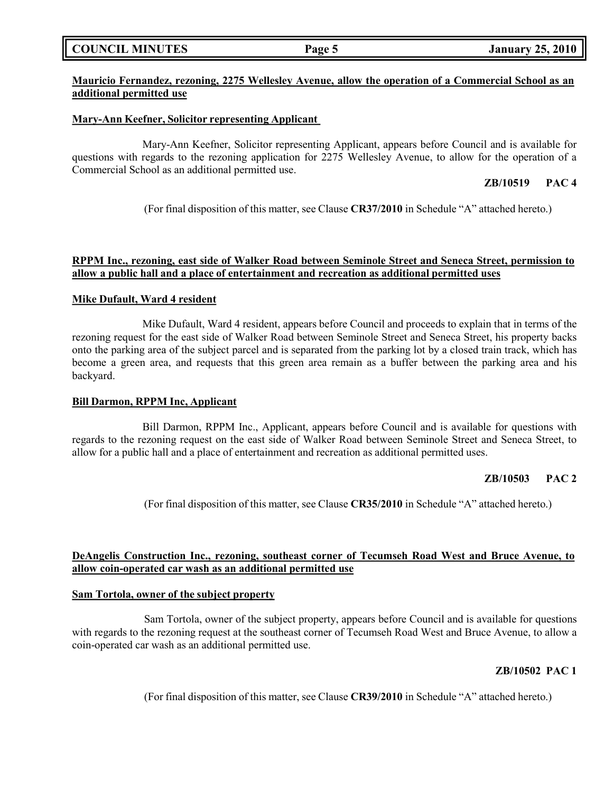|  | <b>COUNCIL MINUTES</b> |
|--|------------------------|
|--|------------------------|

## **Mauricio Fernandez, rezoning, 2275 Wellesley Avenue, allow the operation of a Commercial School as an additional permitted use**

#### **Mary-Ann Keefner, Solicitor representing Applicant**

Mary-Ann Keefner, Solicitor representing Applicant, appears before Council and is available for questions with regards to the rezoning application for 2275 Wellesley Avenue, to allow for the operation of a Commercial School as an additional permitted use.

## **ZB/10519 PAC 4**

(For final disposition of this matter, see Clause **CR37/2010** in Schedule "A" attached hereto.)

#### **RPPM Inc., rezoning, east side of Walker Road between Seminole Street and Seneca Street, permission to allow a public hall and a place of entertainment and recreation as additional permitted uses**

#### **Mike Dufault, Ward 4 resident**

Mike Dufault, Ward 4 resident, appears before Council and proceeds to explain that in terms of the rezoning request for the east side of Walker Road between Seminole Street and Seneca Street, his property backs onto the parking area of the subject parcel and is separated from the parking lot by a closed train track, which has become a green area, and requests that this green area remain as a buffer between the parking area and his backyard.

#### **Bill Darmon, RPPM Inc, Applicant**

Bill Darmon, RPPM Inc., Applicant, appears before Council and is available for questions with regards to the rezoning request on the east side of Walker Road between Seminole Street and Seneca Street, to allow for a public hall and a place of entertainment and recreation as additional permitted uses.

### **ZB/10503 PAC 2**

(For final disposition of this matter, see Clause **CR35/2010** in Schedule "A" attached hereto.)

### **DeAngelis Construction Inc., rezoning, southeast corner of Tecumseh Road West and Bruce Avenue, to allow coin-operated car wash as an additional permitted use**

#### **Sam Tortola, owner of the subject property**

Sam Tortola, owner of the subject property, appears before Council and is available for questions with regards to the rezoning request at the southeast corner of Tecumseh Road West and Bruce Avenue, to allow a coin-operated car wash as an additional permitted use.

## **ZB/10502 PAC 1**

(For final disposition of this matter, see Clause **CR39/2010** in Schedule "A" attached hereto.)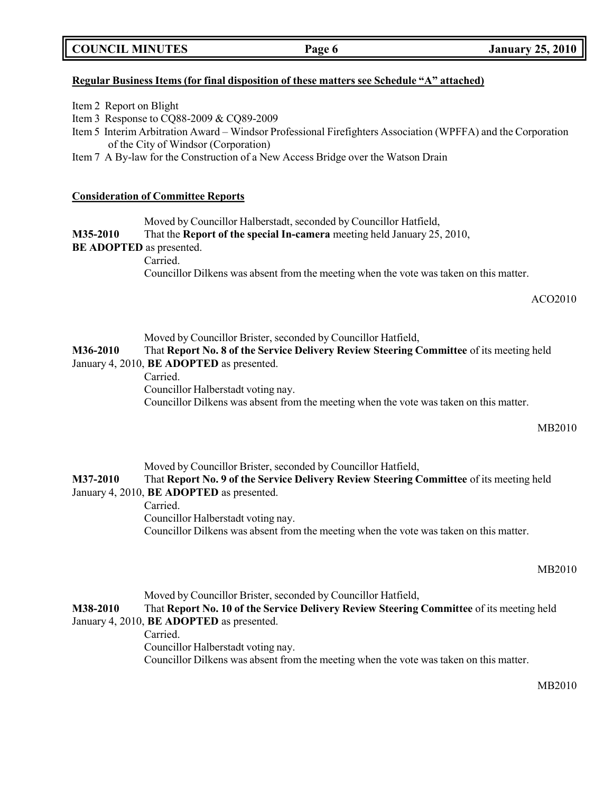### **Regular Business Items (for final disposition of these matters see Schedule "A" attached)**

- Item 2 Report on Blight
- Item 3 Response to CQ88-2009 & CQ89-2009
- Item 5 Interim Arbitration Award Windsor Professional Firefighters Association (WPFFA) and the Corporation of the City of Windsor (Corporation)
- Item 7 A By-law for the Construction of a New Access Bridge over the Watson Drain

#### **Consideration of Committee Reports**

Moved by Councillor Halberstadt, seconded by Councillor Hatfield,

#### **M35-2010** That the **Report of the special In-camera** meeting held January 25, 2010,

#### **BE ADOPTED** as presented.

Carried.

Councillor Dilkens was absent from the meeting when the vote was taken on this matter.

ACO2010

Moved by Councillor Brister, seconded by Councillor Hatfield,

**M36-2010** That **Report No. 8 of the Service Delivery Review Steering Committee** of its meeting held January 4, 2010, **BE ADOPTED** as presented.

Carried.

Councillor Halberstadt voting nay.

Councillor Dilkens was absent from the meeting when the vote was taken on this matter.

MB2010

Moved by Councillor Brister, seconded by Councillor Hatfield, **M37-2010** That **Report No. 9 of the Service Delivery Review Steering Committee** of its meeting held January 4, 2010, **BE ADOPTED** as presented. Carried. Councillor Halberstadt voting nay. Councillor Dilkens was absent from the meeting when the vote was taken on this matter.

MB2010

Moved by Councillor Brister, seconded by Councillor Hatfield, **M38-2010** That **Report No. 10 of the Service Delivery Review Steering Committee** of its meeting held January 4, 2010, **BE ADOPTED** as presented. Carried. Councillor Halberstadt voting nay. Councillor Dilkens was absent from the meeting when the vote was taken on this matter.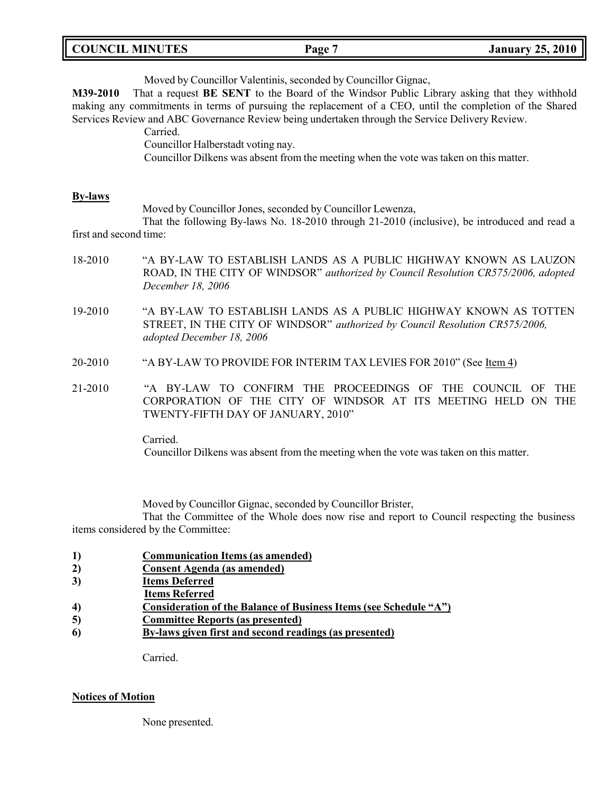| <b>COUNCIL MINUTES</b><br>Page | <b>January 25, 2010</b> |
|--------------------------------|-------------------------|
|--------------------------------|-------------------------|

| M39-2010                                 | Moved by Councillor Valentinis, seconded by Councillor Gignac,<br>That a request BE SENT to the Board of the Windsor Public Library asking that they withhold<br>making any commitments in terms of pursuing the replacement of a CEO, until the completion of the Shared<br>Services Review and ABC Governance Review being undertaken through the Service Delivery Review.<br>Carried.<br>Councillor Halberstadt voting nay.<br>Councillor Dilkens was absent from the meeting when the vote was taken on this matter. |  |
|------------------------------------------|--------------------------------------------------------------------------------------------------------------------------------------------------------------------------------------------------------------------------------------------------------------------------------------------------------------------------------------------------------------------------------------------------------------------------------------------------------------------------------------------------------------------------|--|
| <b>By-laws</b><br>first and second time: | Moved by Councillor Jones, seconded by Councillor Lewenza,<br>That the following By-laws No. 18-2010 through 21-2010 (inclusive), be introduced and read a                                                                                                                                                                                                                                                                                                                                                               |  |
| 18-2010                                  | "A BY-LAW TO ESTABLISH LANDS AS A PUBLIC HIGHWAY KNOWN AS LAUZON<br>ROAD, IN THE CITY OF WINDSOR" authorized by Council Resolution CR575/2006, adopted<br>December 18, 2006                                                                                                                                                                                                                                                                                                                                              |  |
| 19-2010                                  | "A BY-LAW TO ESTABLISH LANDS AS A PUBLIC HIGHWAY KNOWN AS TOTTEN<br>STREET, IN THE CITY OF WINDSOR" authorized by Council Resolution CR575/2006,<br>adopted December 18, 2006                                                                                                                                                                                                                                                                                                                                            |  |
| 20-2010                                  | "A BY-LAW TO PROVIDE FOR INTERIM TAX LEVIES FOR 2010" (See Item 4)                                                                                                                                                                                                                                                                                                                                                                                                                                                       |  |
| 21-2010                                  | "A BY-LAW TO CONFIRM THE PROCEEDINGS OF<br>THE COUNCIL<br><b>THE</b><br>OF<br>CORPORATION OF THE CITY OF WINDSOR AT ITS MEETING HELD ON THE<br>TWENTY-FIFTH DAY OF JANUARY, 2010"                                                                                                                                                                                                                                                                                                                                        |  |
|                                          | Carried.                                                                                                                                                                                                                                                                                                                                                                                                                                                                                                                 |  |

Councillor Dilkens was absent from the meeting when the vote was taken on this matter.

Moved by Councillor Gignac, seconded by Councillor Brister,

That the Committee of the Whole does now rise and report to Council respecting the business items considered by the Committee:

- **1) Communication Items (as amended)**
- **2) Consent Agenda (as amended)**
- **3) Items Deferred**
- **Items Referred**
- **4) Consideration of the Balance of Business Items (see Schedule "A")**
- **5) Committee Reports (as presented)**
- **6) By-laws given first and second readings (as presented)**

Carried.

### **Notices of Motion**

None presented.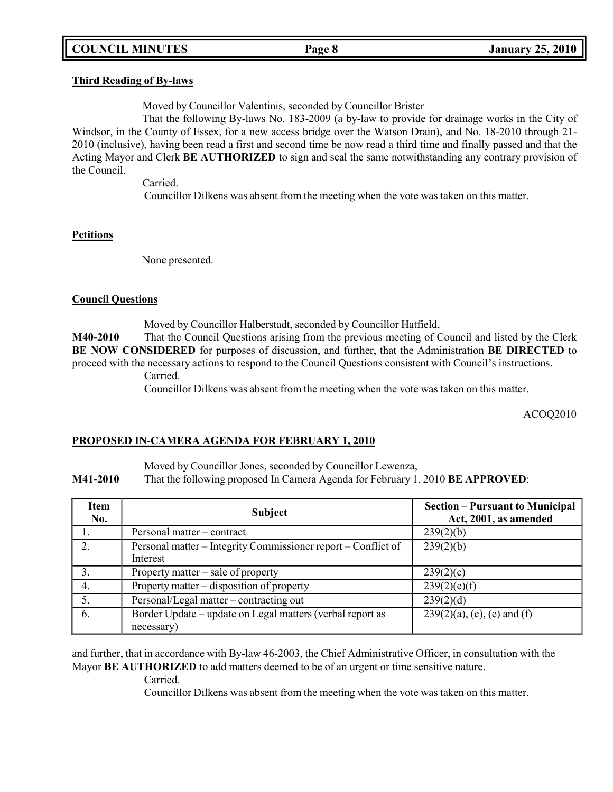## **COUNCIL MINUTES Page 8 January 25, 2010**

#### **Third Reading of By-laws**

Moved by Councillor Valentinis, seconded by Councillor Brister

That the following By-laws No. 183-2009 (a by-law to provide for drainage works in the City of Windsor, in the County of Essex, for a new access bridge over the Watson Drain), and No. 18-2010 through 21- 2010 (inclusive), having been read a first and second time be now read a third time and finally passed and that the Acting Mayor and Clerk **BE AUTHORIZED** to sign and seal the same notwithstanding any contrary provision of the Council.

Carried.

Councillor Dilkens was absent from the meeting when the vote was taken on this matter.

#### **Petitions**

None presented.

#### **Council Questions**

Moved by Councillor Halberstadt, seconded by Councillor Hatfield,

**M40-2010** That the Council Questions arising from the previous meeting of Council and listed by the Clerk **BE NOW CONSIDERED** for purposes of discussion, and further, that the Administration **BE DIRECTED** to proceed with the necessary actions to respond to the Council Questions consistent with Council's instructions.

Carried.

Councillor Dilkens was absent from the meeting when the vote was taken on this matter.

ACOQ2010

### **PROPOSED IN-CAMERA AGENDA FOR FEBRUARY 1, 2010**

Moved by Councillor Jones, seconded by Councillor Lewenza,

**M41-2010** That the following proposed In Camera Agenda for February 1, 2010 **BE APPROVED**:

| Item<br>No. | <b>Subject</b>                                                            | <b>Section – Pursuant to Municipal</b><br>Act, 2001, as amended |
|-------------|---------------------------------------------------------------------------|-----------------------------------------------------------------|
|             | Personal matter – contract                                                | 239(2)(b)                                                       |
| 2.          | Personal matter – Integrity Commissioner report – Conflict of<br>Interest | 239(2)(b)                                                       |
|             | Property matter – sale of property                                        | 239(2)(c)                                                       |
| 4.          | Property matter – disposition of property                                 | 239(2)(e)(f)                                                    |
|             | Personal/Legal matter – contracting out                                   | 239(2)(d)                                                       |
| 6.          | Border Update - update on Legal matters (verbal report as<br>necessary)   | $239(2)(a)$ , (c), (e) and (f)                                  |

and further, that in accordance with By-law 46-2003, the Chief Administrative Officer, in consultation with the Mayor **BE AUTHORIZED** to add matters deemed to be of an urgent or time sensitive nature.

Carried.

Councillor Dilkens was absent from the meeting when the vote was taken on this matter.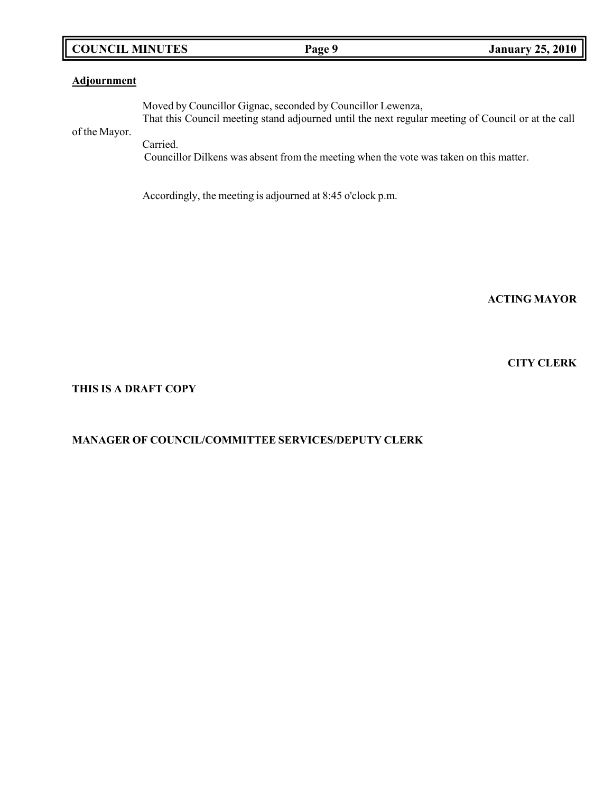## **COUNCIL MINUTES Page 9 January 25, 2010**

### **Adjournment**

of the Mayor. Moved by Councillor Gignac, seconded by Councillor Lewenza, That this Council meeting stand adjourned until the next regular meeting of Council or at the call Carried.

Councillor Dilkens was absent from the meeting when the vote was taken on this matter.

Accordingly, the meeting is adjourned at 8:45 o'clock p.m.

**ACTING MAYOR**

**CITY CLERK**

#### **THIS IS A DRAFT COPY**

## **MANAGER OF COUNCIL/COMMITTEE SERVICES/DEPUTY CLERK**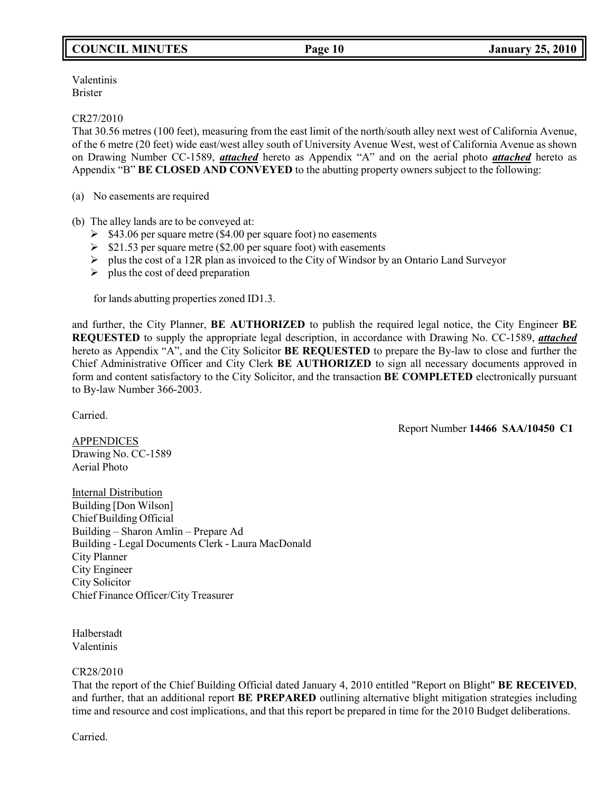## **COUNCIL MINUTES Page 10 January 25, 2010**

Valentinis Brister

CR27/2010

That 30.56 metres (100 feet), measuring from the east limit of the north/south alley next west of California Avenue, of the 6 metre (20 feet) wide east/west alley south of University Avenue West, west of California Avenue as shown on Drawing Number CC-1589, *attached* hereto as Appendix "A" and on the aerial photo *attached* hereto as Appendix "B" **BE CLOSED AND CONVEYED** to the abutting property owners subject to the following:

(a) No easements are required

(b) The alley lands are to be conveyed at:

- $\geq$  \$43.06 per square metre (\$4.00 per square foot) no easements
- $\geq$  \$21.53 per square metre (\$2.00 per square foot) with easements
- $\triangleright$  plus the cost of a 12R plan as invoiced to the City of Windsor by an Ontario Land Surveyor
- $\triangleright$  plus the cost of deed preparation

for lands abutting properties zoned ID1.3.

and further, the City Planner, **BE AUTHORIZED** to publish the required legal notice, the City Engineer **BE REQUESTED** to supply the appropriate legal description, in accordance with Drawing No. CC-1589, *attached* hereto as Appendix "A", and the City Solicitor **BE REQUESTED** to prepare the By-law to close and further the Chief Administrative Officer and City Clerk **BE AUTHORIZED** to sign all necessary documents approved in form and content satisfactory to the City Solicitor, and the transaction **BE COMPLETED** electronically pursuant to By-law Number 366-2003.

Carried.

Report Number **14466 SAA/10450 C1**

APPENDICES Drawing No. CC-1589 Aerial Photo

**Internal Distribution** Building [Don Wilson] Chief Building Official Building – Sharon Amlin – Prepare Ad Building - Legal Documents Clerk - Laura MacDonald City Planner City Engineer City Solicitor Chief Finance Officer/City Treasurer

Halberstadt Valentinis

#### CR28/2010

That the report of the Chief Building Official dated January 4, 2010 entitled "Report on Blight" **BE RECEIVED**, and further, that an additional report **BE PREPARED** outlining alternative blight mitigation strategies including time and resource and cost implications, and that this report be prepared in time for the 2010 Budget deliberations.

Carried.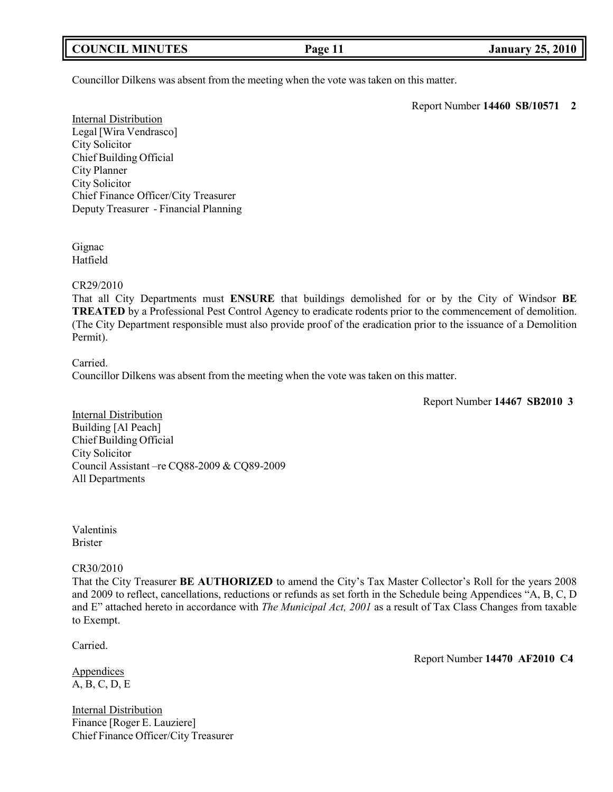Councillor Dilkens was absent from the meeting when the vote was taken on this matter.

Report Number **14460 SB/10571 2**

Internal Distribution Legal [Wira Vendrasco] City Solicitor Chief Building Official City Planner City Solicitor Chief Finance Officer/City Treasurer Deputy Treasurer - Financial Planning

Gignac Hatfield

CR29/2010

That all City Departments must **ENSURE** that buildings demolished for or by the City of Windsor **BE TREATED** by a Professional Pest Control Agency to eradicate rodents prior to the commencement of demolition. (The City Department responsible must also provide proof of the eradication prior to the issuance of a Demolition Permit).

Carried.

Councillor Dilkens was absent from the meeting when the vote was taken on this matter.

Report Number **14467 SB2010 3**

Internal Distribution Building [Al Peach] Chief Building Official City Solicitor Council Assistant –re CQ88-2009 & CQ89-2009 All Departments

Valentinis Brister

#### CR30/2010

That the City Treasurer **BE AUTHORIZED** to amend the City's Tax Master Collector's Roll for the years 2008 and 2009 to reflect, cancellations, reductions or refunds as set forth in the Schedule being Appendices "A, B, C, D and E" attached hereto in accordance with *The Municipal Act, 2001* as a result of Tax Class Changes from taxable to Exempt.

Carried.

**Appendices** A, B, C, D, E

Internal Distribution Finance [Roger E. Lauziere] Chief Finance Officer/City Treasurer Report Number **14470 AF2010 C4**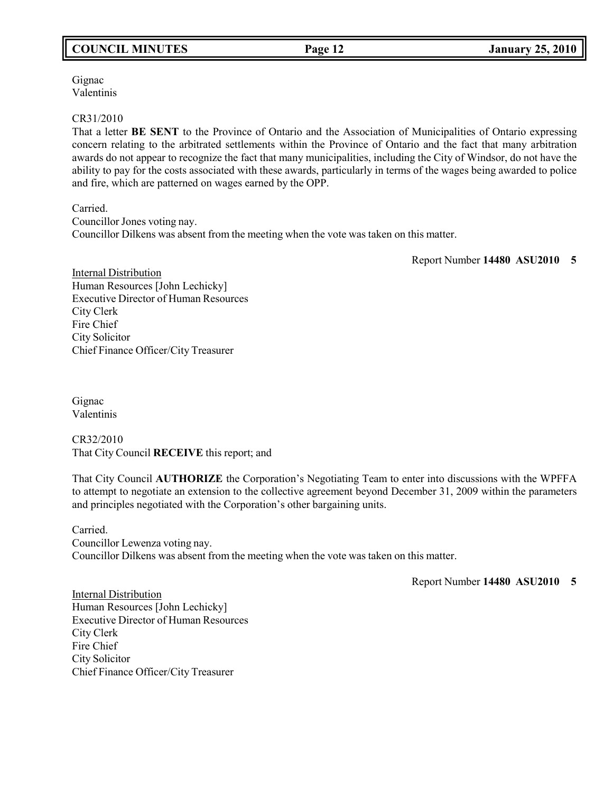## **COUNCIL MINUTES Page 12 January 25, 2010**

Gignac Valentinis

#### CR31/2010

That a letter **BE SENT** to the Province of Ontario and the Association of Municipalities of Ontario expressing concern relating to the arbitrated settlements within the Province of Ontario and the fact that many arbitration awards do not appear to recognize the fact that many municipalities, including the City of Windsor, do not have the ability to pay for the costs associated with these awards, particularly in terms of the wages being awarded to police and fire, which are patterned on wages earned by the OPP.

Carried. Councillor Jones voting nay. Councillor Dilkens was absent from the meeting when the vote was taken on this matter.

Report Number **14480 ASU2010 5**

Internal Distribution Human Resources [John Lechicky] Executive Director of Human Resources City Clerk Fire Chief City Solicitor Chief Finance Officer/City Treasurer

Gignac Valentinis

CR32/2010 That City Council **RECEIVE** this report; and

That City Council **AUTHORIZE** the Corporation's Negotiating Team to enter into discussions with the WPFFA to attempt to negotiate an extension to the collective agreement beyond December 31, 2009 within the parameters and principles negotiated with the Corporation's other bargaining units.

Carried. Councillor Lewenza voting nay. Councillor Dilkens was absent from the meeting when the vote was taken on this matter.

Report Number **14480 ASU2010 5**

Internal Distribution Human Resources [John Lechicky] Executive Director of Human Resources City Clerk Fire Chief City Solicitor Chief Finance Officer/City Treasurer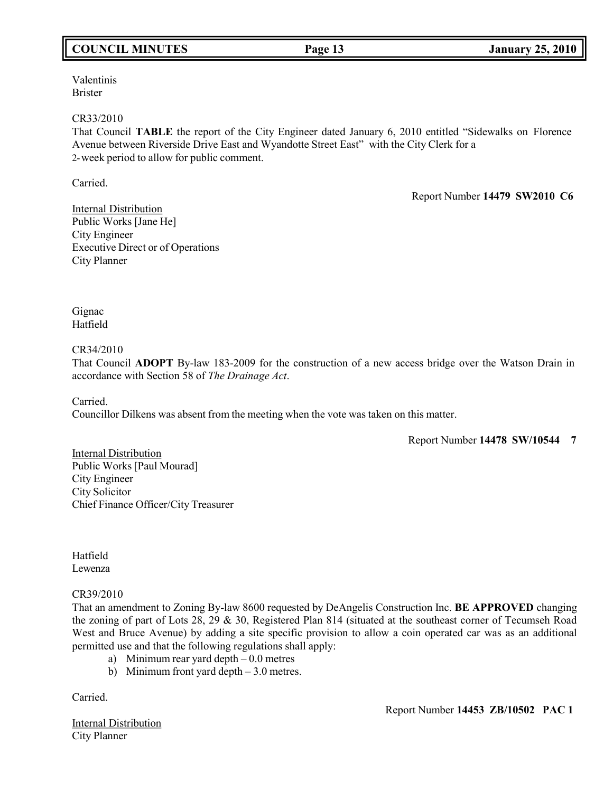## **COUNCIL MINUTES Page 13 January 25, 2010**

Valentinis Brister

#### CR33/2010

That Council **TABLE** the report of the City Engineer dated January 6, 2010 entitled "Sidewalks on Florence Avenue between Riverside Drive East and Wyandotte Street East" with the City Clerk for a 2-week period to allow for public comment.

Carried.

Report Number **14479 SW2010 C6**

Internal Distribution Public Works [Jane He] City Engineer Executive Direct or of Operations City Planner

Gignac Hatfield

CR34/2010

That Council **ADOPT** By-law 183-2009 for the construction of a new access bridge over the Watson Drain in accordance with Section 58 of *The Drainage Act*.

Carried.

Councillor Dilkens was absent from the meeting when the vote was taken on this matter.

Report Number **14478 SW/10544 7**

Internal Distribution Public Works [Paul Mourad] City Engineer City Solicitor Chief Finance Officer/City Treasurer

Hatfield Lewenza

### CR39/2010

That an amendment to Zoning By-law 8600 requested by DeAngelis Construction Inc. **BE APPROVED** changing the zoning of part of Lots 28, 29 & 30, Registered Plan 814 (situated at the southeast corner of Tecumseh Road West and Bruce Avenue) by adding a site specific provision to allow a coin operated car was as an additional permitted use and that the following regulations shall apply:

- a) Minimum rear yard depth  $-0.0$  metres
- b) Minimum front yard depth 3.0 metres.

Carried.

Internal Distribution City Planner

Report Number **14453 ZB/10502 PAC 1**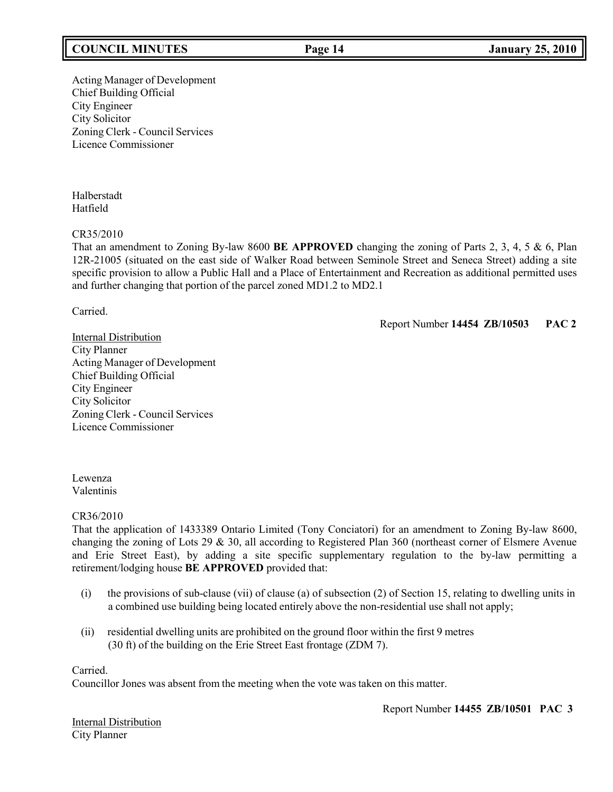## **COUNCIL MINUTES Page 14 January 25, 2010**

Acting Manager of Development Chief Building Official City Engineer City Solicitor Zoning Clerk - Council Services Licence Commissioner

Halberstadt Hatfield

#### CR35/2010

That an amendment to Zoning By-law 8600 **BE APPROVED** changing the zoning of Parts 2, 3, 4, 5 & 6, Plan 12R-21005 (situated on the east side of Walker Road between Seminole Street and Seneca Street) adding a site specific provision to allow a Public Hall and a Place of Entertainment and Recreation as additional permitted uses and further changing that portion of the parcel zoned MD1.2 to MD2.1

Carried.

Report Number **14454 ZB/10503 PAC 2**

Internal Distribution City Planner Acting Manager of Development Chief Building Official City Engineer City Solicitor Zoning Clerk - Council Services Licence Commissioner

Lewenza Valentinis

CR36/2010

That the application of 1433389 Ontario Limited (Tony Conciatori) for an amendment to Zoning By-law 8600, changing the zoning of Lots 29 & 30, all according to Registered Plan 360 (northeast corner of Elsmere Avenue and Erie Street East), by adding a site specific supplementary regulation to the by-law permitting a retirement/lodging house **BE APPROVED** provided that:

- (i) the provisions of sub-clause (vii) of clause (a) of subsection (2) of Section 15, relating to dwelling units in a combined use building being located entirely above the non-residential use shall not apply;
- (ii) residential dwelling units are prohibited on the ground floor within the first 9 metres (30 ft) of the building on the Erie Street East frontage (ZDM 7).

Carried.

Councillor Jones was absent from the meeting when the vote was taken on this matter.

Report Number **14455 ZB/10501 PAC 3**

Internal Distribution City Planner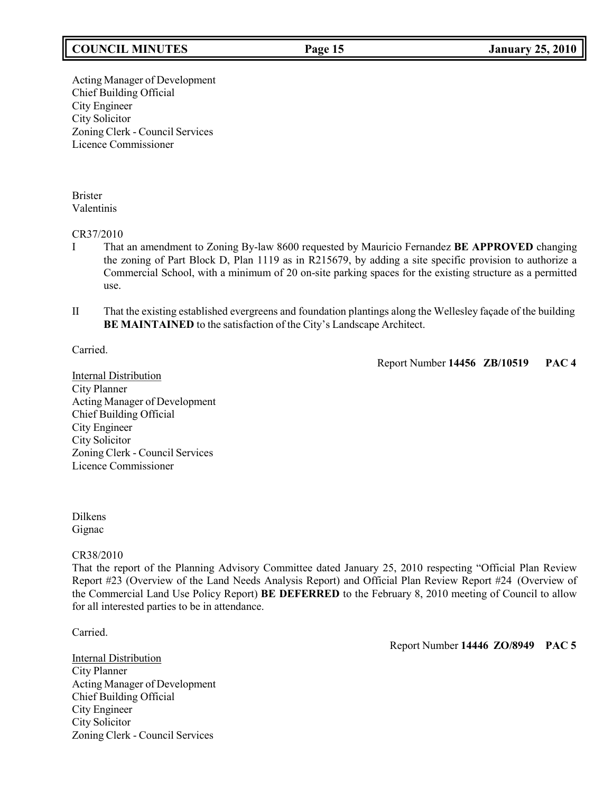## **COUNCIL MINUTES Page 15 January 25, 2010**

Acting Manager of Development Chief Building Official City Engineer City Solicitor Zoning Clerk - Council Services Licence Commissioner

Brister Valentinis

#### CR37/2010

- I That an amendment to Zoning By-law 8600 requested by Mauricio Fernandez **BE APPROVED** changing the zoning of Part Block D, Plan 1119 as in R215679, by adding a site specific provision to authorize a Commercial School, with a minimum of 20 on-site parking spaces for the existing structure as a permitted use.
- II That the existing established evergreens and foundation plantings along the Wellesley façade of the building **BE MAINTAINED** to the satisfaction of the City's Landscape Architect.

Carried.

Report Number **14456 ZB/10519 PAC 4**

Internal Distribution City Planner Acting Manager of Development Chief Building Official City Engineer City Solicitor Zoning Clerk - Council Services Licence Commissioner

Dilkens Gignac

#### CR38/2010

That the report of the Planning Advisory Committee dated January 25, 2010 respecting "Official Plan Review Report #23 (Overview of the Land Needs Analysis Report) and Official Plan Review Report #24 (Overview of the Commercial Land Use Policy Report) **BE DEFERRED** to the February 8, 2010 meeting of Council to allow for all interested parties to be in attendance.

Carried.

**Internal Distribution** City Planner Acting Manager of Development Chief Building Official City Engineer City Solicitor Zoning Clerk - Council Services

Report Number **14446 ZO/8949 PAC 5**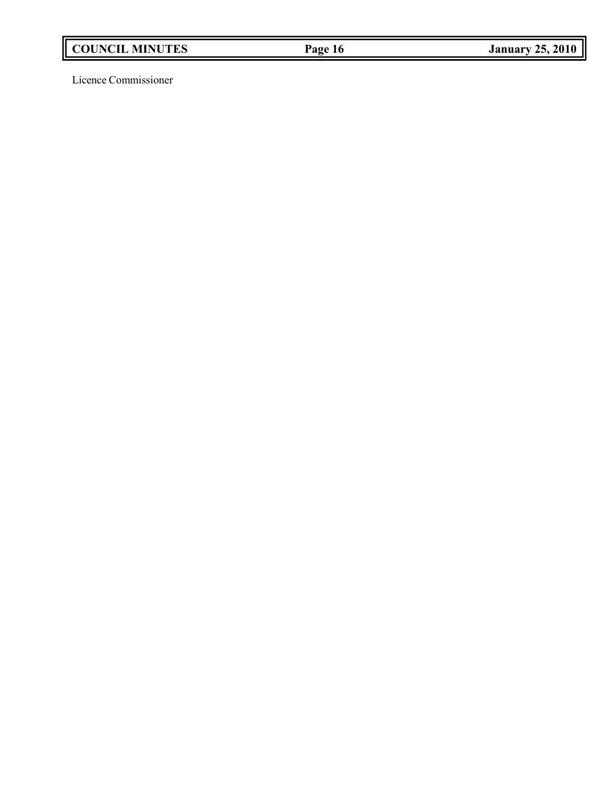Licence Commissioner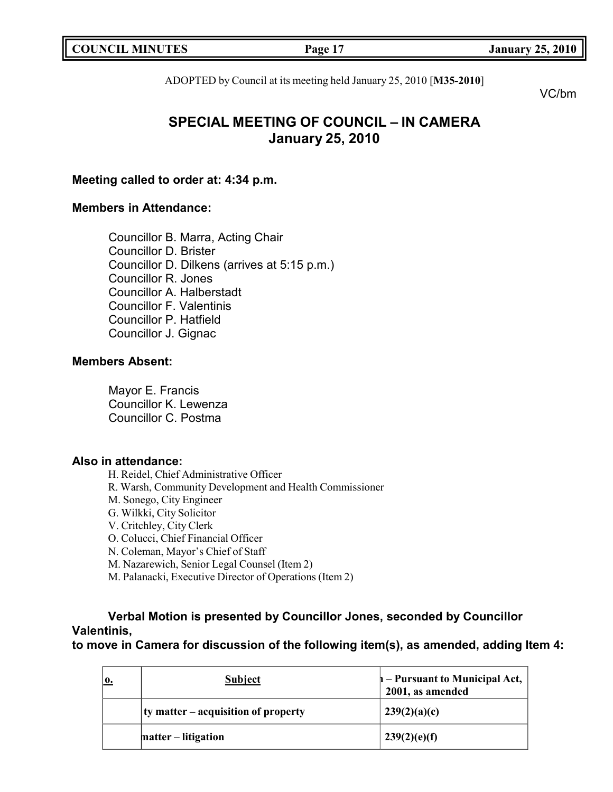|  | <b>COUNCIL MINUTES</b> |
|--|------------------------|
|--|------------------------|

**COUNCIL EXECUTE: COUNCIL EXECUTE: COUNCIL COUNCIL COUNCIL COUNCIL COUNCIL COUNCIL COUNCIL COUNCIL COUNCIL** 

ADOPTED by Council at its meeting held January 25, 2010 [**M35-2010**]

VC/bm

# **SPECIAL MEETING OF COUNCIL – IN CAMERA January 25, 2010**

## **Meeting called to order at: 4:34 p.m.**

## **Members in Attendance:**

Councillor B. Marra, Acting Chair Councillor D. Brister Councillor D. Dilkens (arrives at 5:15 p.m.) Councillor R. Jones Councillor A. Halberstadt Councillor F. Valentinis Councillor P. Hatfield Councillor J. Gignac

## **Members Absent:**

Mayor E. Francis Councillor K. Lewenza Councillor C. Postma

## **Also in attendance:**

H. Reidel, Chief Administrative Officer

- R. Warsh, Community Development and Health Commissioner
- M. Sonego, City Engineer
- G. Wilkki, City Solicitor
- V. Critchley, City Clerk
- O. Colucci, Chief Financial Officer
- N. Coleman, Mayor's Chief of Staff
- M. Nazarewich, Senior Legal Counsel (Item 2)
- M. Palanacki, Executive Director of Operations (Item 2)

# **Verbal Motion is presented by Councillor Jones, seconded by Councillor Valentinis,**

**to move in Camera for discussion of the following item(s), as amended, adding Item 4:**

| <b>Subject</b>                          | $h$ – Pursuant to Municipal Act,<br>2001, as amended |
|-----------------------------------------|------------------------------------------------------|
| $ $ ty matter – acquisition of property | 239(2)(a)(c)                                         |
| matter – litigation                     | 239(2)(e)(f)                                         |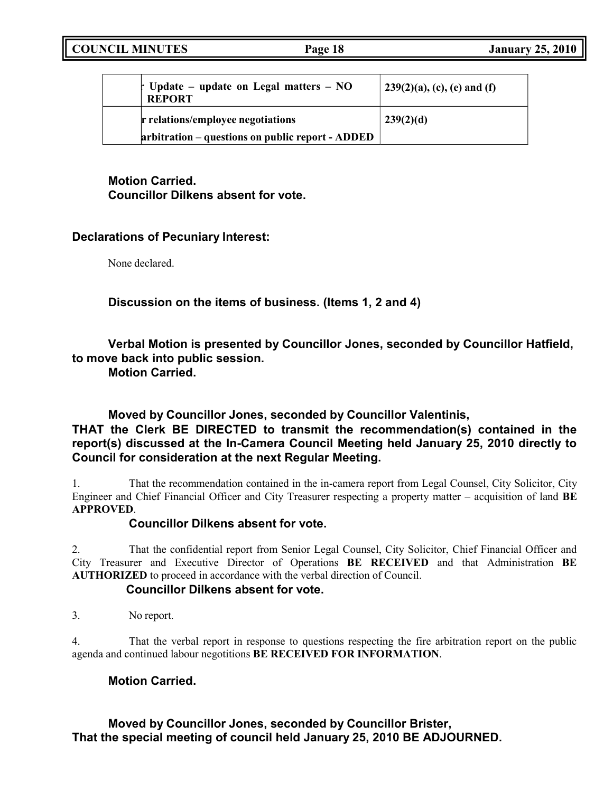| $\dagger$ Update – update on Legal matters – NO<br><b>REPORT</b> | $  239(2)(a), (c), (e)$ and (f) |
|------------------------------------------------------------------|---------------------------------|
| r relations/employee negotiations                                | 239(2)(d)                       |
| arbitration – questions on public report - ADDED                 |                                 |

# **Motion Carried. Councillor Dilkens absent for vote.**

## **Declarations of Pecuniary Interest:**

None declared.

**Discussion on the items of business. (Items 1, 2 and 4)**

**Verbal Motion is presented by Councillor Jones, seconded by Councillor Hatfield, to move back into public session.**

**Motion Carried.**

# **Moved by Councillor Jones, seconded by Councillor Valentinis, THAT the Clerk BE DIRECTED to transmit the recommendation(s) contained in the report(s) discussed at the In-Camera Council Meeting held January 25, 2010 directly to Council for consideration at the next Regular Meeting.**

1. That the recommendation contained in the in-camera report from Legal Counsel, City Solicitor, City Engineer and Chief Financial Officer and City Treasurer respecting a property matter – acquisition of land **BE APPROVED**.

## **Councillor Dilkens absent for vote.**

2. That the confidential report from Senior Legal Counsel, City Solicitor, Chief Financial Officer and City Treasurer and Executive Director of Operations **BE RECEIVED** and that Administration **BE AUTHORIZED** to proceed in accordance with the verbal direction of Council.

## **Councillor Dilkens absent for vote.**

3. No report.

4. That the verbal report in response to questions respecting the fire arbitration report on the public agenda and continued labour negotitions **BE RECEIVED FOR INFORMATION**.

## **Motion Carried.**

## **Moved by Councillor Jones, seconded by Councillor Brister, That the special meeting of council held January 25, 2010 BE ADJOURNED.**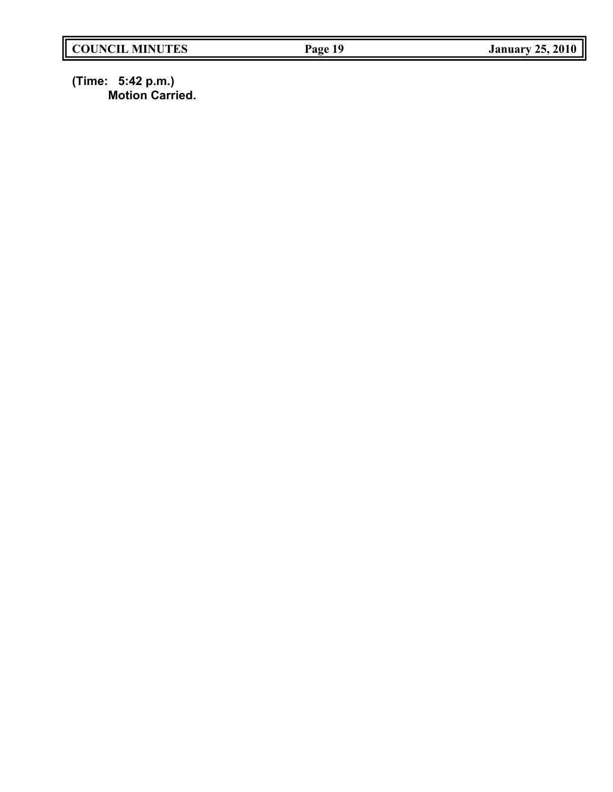**(Time: 5:42 p.m.) Motion Carried.**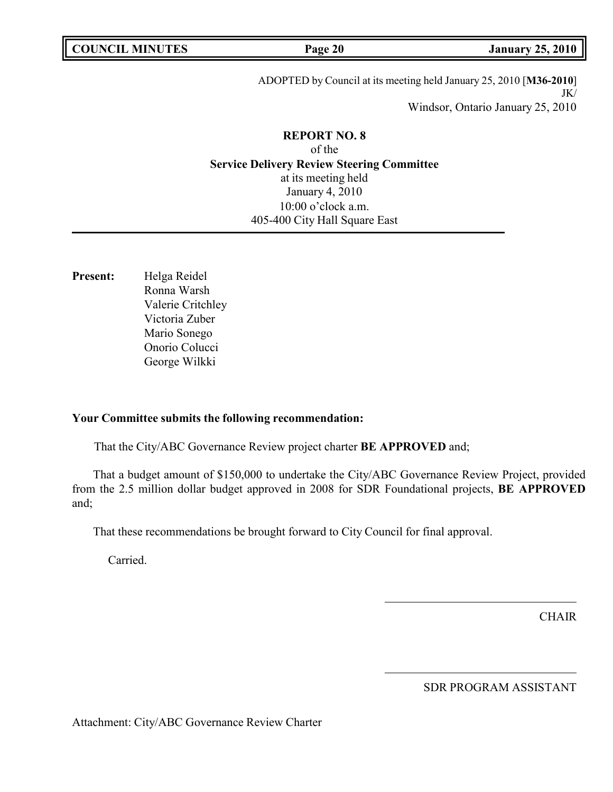| <b>COUNCIL MINUTES</b> |  |
|------------------------|--|
|------------------------|--|

**COUNCIL EXECUTE: COUNCIL EXECUTE: COUNCIL COUNCIL COUNCIL COUNCIL COUNCIL COUNCIL COUNCIL COUNCIL COUNCIL COUNCIL** 

ADOPTED by Council at its meeting held January 25, 2010 [**M36-2010**] JK/ Windsor, Ontario January 25, 2010

## **REPORT NO. 8** of the **Service Delivery Review Steering Committee**

at its meeting held January 4, 2010 10:00 o'clock a.m. 405-400 City Hall Square East

**Present:** Helga Reidel Ronna Warsh Valerie Critchley Victoria Zuber Mario Sonego Onorio Colucci George Wilkki

### **Your Committee submits the following recommendation:**

That the City/ABC Governance Review project charter **BE APPROVED** and;

That a budget amount of \$150,000 to undertake the City/ABC Governance Review Project, provided from the 2.5 million dollar budget approved in 2008 for SDR Foundational projects, **BE APPROVED** and;

That these recommendations be brought forward to City Council for final approval.

Carried.

**CHAIR** 

SDR PROGRAM ASSISTANT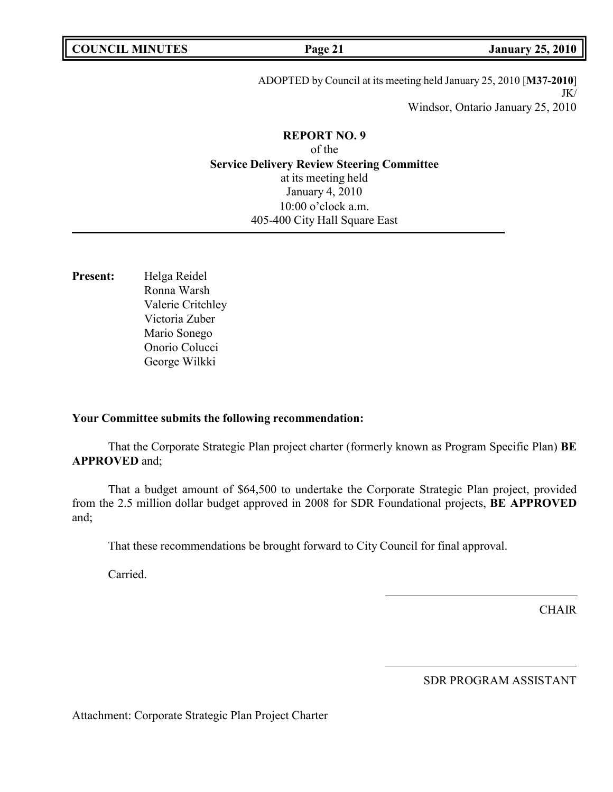| <b>COUNCIL MINUTES</b> |  |
|------------------------|--|
|------------------------|--|

**COUNCIL EXECUTE: COUNCIL COUNCIL COUNCIL COUNCIL COUNCIL COUNCIL COUNCIL COUNCIL COUNCIL COUNCIL** 

ADOPTED by Council at its meeting held January 25, 2010 [**M37-2010**] JK/ Windsor, Ontario January 25, 2010

# **REPORT NO. 9** of the **Service Delivery Review Steering Committee** at its meeting held January 4, 2010

10:00 o'clock a.m. 405-400 City Hall Square East

**Present:** Helga Reidel Ronna Warsh Valerie Critchley Victoria Zuber Mario Sonego Onorio Colucci George Wilkki

## **Your Committee submits the following recommendation:**

That the Corporate Strategic Plan project charter (formerly known as Program Specific Plan) **BE APPROVED** and;

That a budget amount of \$64,500 to undertake the Corporate Strategic Plan project, provided from the 2.5 million dollar budget approved in 2008 for SDR Foundational projects, **BE APPROVED** and;

That these recommendations be brought forward to City Council for final approval.

Carried.

**CHAIR** 

SDR PROGRAM ASSISTANT

Attachment: Corporate Strategic Plan Project Charter